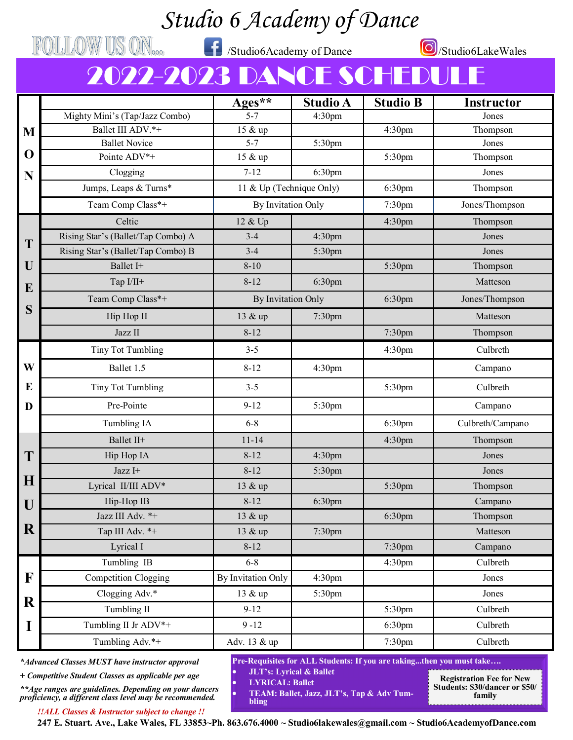## *Studio 6 Academy of Dance*

FOLLOW US ON<sub>000</sub> fxtudio6Academy of Dance **O**/Studio6LakeWales

## 2022-2023 DANCE SCHEDU

|             |                                    | $Ages^{\ast\ast}$        | <b>Studio A</b>    | <b>Studio B</b>    | <b>Instructor</b> |
|-------------|------------------------------------|--------------------------|--------------------|--------------------|-------------------|
|             | Mighty Mini's (Tap/Jazz Combo)     | $5 - 7$                  | 4:30pm             |                    | Jones             |
| M           | Ballet III ADV.*+                  | 15 & up                  |                    | 4:30 <sub>pm</sub> | Thompson          |
| $\mathbf 0$ | <b>Ballet Novice</b>               | $5 - 7$                  | 5:30pm             |                    | Jones             |
|             | Pointe ADV*+                       | 15 & up                  |                    | 5:30pm             | Thompson          |
| N           | Clogging                           | $7 - 12$                 | 6:30pm             |                    | Jones             |
|             | Jumps, Leaps & Turns*              | 11 & Up (Technique Only) |                    | 6:30pm             | Thompson          |
|             | Team Comp Class*+                  | By Invitation Only       |                    | 7:30pm             | Jones/Thompson    |
|             | Celtic                             | 12 & Up                  |                    | 4:30 <sub>pm</sub> | Thompson          |
| T           | Rising Star's (Ballet/Tap Combo) A | $3 - 4$                  | 4:30pm             |                    | Jones             |
|             | Rising Star's (Ballet/Tap Combo) B | $3 - 4$                  | 5:30pm             |                    | Jones             |
| U           | Ballet I+                          | $8 - 10$                 |                    | 5:30pm             | Thompson          |
| E           | Tap I/II+                          | $8 - 12$                 | 6:30 <sub>pm</sub> |                    | Matteson          |
|             | Team Comp Class*+                  | By Invitation Only       |                    | 6:30 <sub>pm</sub> | Jones/Thompson    |
| S           | Hip Hop II                         | 13 & up                  | 7:30pm             |                    | Matteson          |
|             | Jazz II                            | $8 - 12$                 |                    | 7:30pm             | Thompson          |
|             | Tiny Tot Tumbling                  | $3 - 5$                  |                    | 4:30pm             | Culbreth          |
| W           | Ballet 1.5                         | $8 - 12$                 | 4:30 <sub>pm</sub> |                    | Campano           |
| E           | <b>Tiny Tot Tumbling</b>           | $3 - 5$                  |                    | 5:30pm             | Culbreth          |
| D           | Pre-Pointe                         | $9 - 12$                 | 5:30pm             |                    | Campano           |
|             | Tumbling IA                        | $6 - 8$                  |                    | 6:30 <sub>pm</sub> | Culbreth/Campano  |
|             | Ballet II+                         | $11 - 14$                |                    | 4:30pm             | Thompson          |
| T           | Hip Hop IA                         | $8 - 12$                 | 4:30 <sub>pm</sub> |                    | Jones             |
|             | Jazz I+                            | $8 - 12$                 | 5:30pm             |                    | Jones             |
| H           | Lyrical II/III ADV*                | 13 & up                  |                    | 5:30pm             | Thompson          |
| U           | Hip-Hop IB                         | $8 - 12$                 | 6:30pm             |                    | Campano           |
|             | Jazz III Adv. *+                   | 13 & up                  |                    | 6:30 <sub>pm</sub> | Thompson          |
| R           | Tap III Adv. *+                    | 13 & up                  | 7:30pm             |                    | Matteson          |
|             | Lyrical I                          | $8 - 12$                 |                    | 7:30pm             | Campano           |
|             | Tumbling IB                        | $6 - 8$                  |                    | 4:30pm             | Culbreth          |
| F           | <b>Competition Clogging</b>        | By Invitation Only       | 4:30 <sub>pm</sub> |                    | Jones             |
|             | Clogging Adv.*                     | 13 & up                  | 5:30pm             |                    | Jones             |
| $\bf R$     | Tumbling II                        | $9 - 12$                 |                    | 5:30pm             | Culbreth          |
| I           | Tumbling II Jr ADV*+               | $9 - 12$                 |                    | 6:30pm             | Culbreth          |
|             | Tumbling Adv.*+                    | Adv. 13 & up             |                    | 7:30pm             | Culbreth          |

*\*Advanced Classes MUST have instructor approval*

*+ Competitive Student Classes as applicable per age*

*\*\*Age ranges are guidelines. Depending on your dancers proficiency, a different class level may be recommended.*

*!!ALL Classes & Instructor subject to change !!*

**Pre-Requisites for ALL Students: If you are taking...then you must take….**

• **JLT's: Lyrical & Ballet** • **LYRICAL: Ballet**

**Registration Fee for New Students: \$30/dancer or \$50/ family**

**247 E. Stuart. Ave., Lake Wales, FL 33853~Ph. 863.676.4000 ~ Studio6lakewales@gmail.com ~ Studio6AcademyofDance.com bling**

• **TEAM: Ballet, Jazz, JLT's, Tap & Adv Tum-**